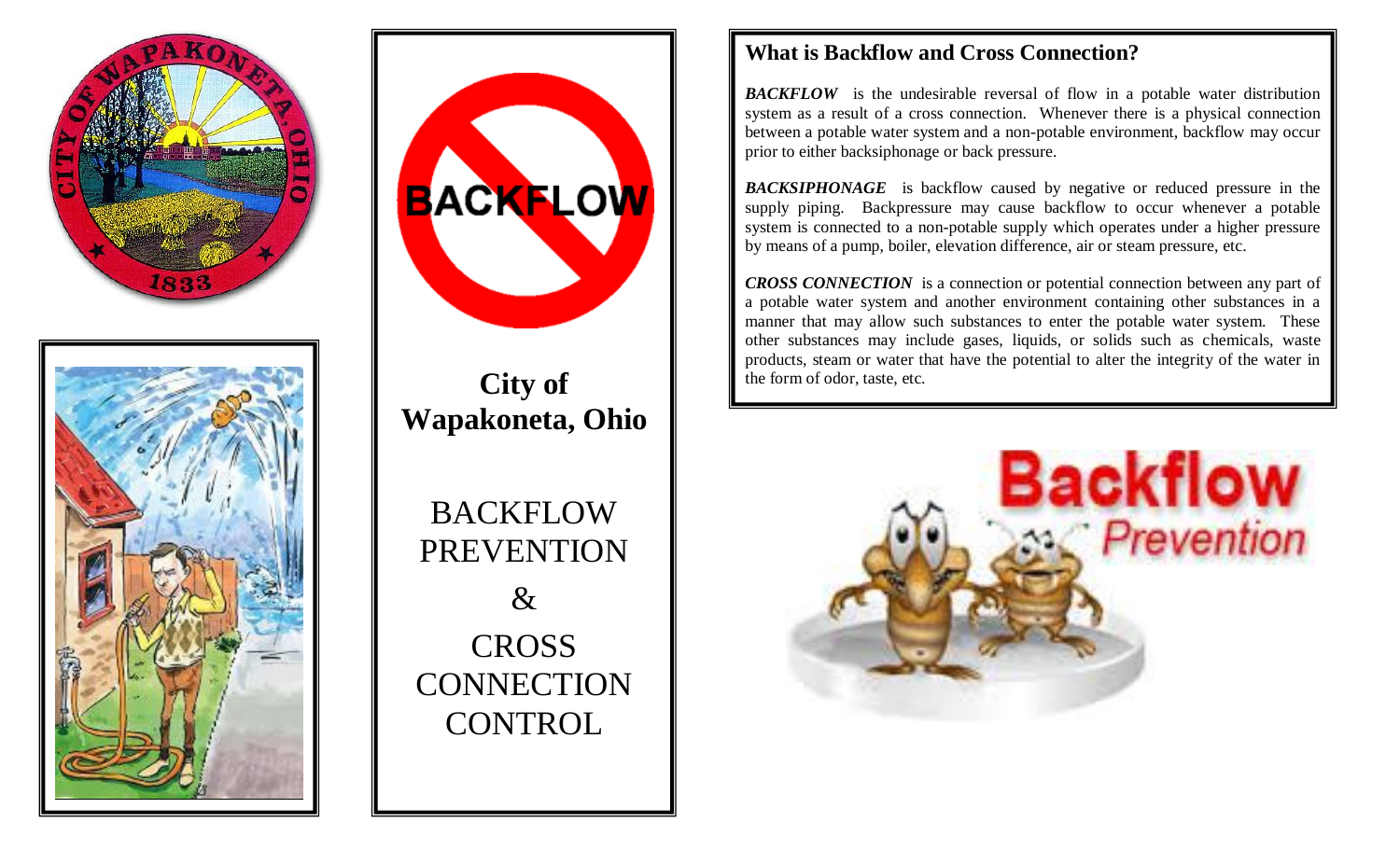





# **City of Wapakoneta, Ohio**

BACKFLOW PREVENTION  $\&$ CROSS **CONNECTION CONTROL** 

### **What is Backflow and Cross Connection?**

**BACKFLOW** is the undesirable reversal of flow in a potable water distribution system as a result of a cross connection. Whenever there is a physical connection between a potable water system and a non-potable environment, backflow may occur prior to either backsiphonage or back pressure.

*BACKSIPHONAGE* is backflow caused by negative or reduced pressure in the supply piping. Backpressure may cause backflow to occur whenever a potable system is connected to a non-potable supply which operates under a higher pressure by means of a pump, boiler, elevation difference, air or steam pressure, etc.

*CROSS CONNECTION* is a connection or potential connection between any part of a potable water system and another environment containing other substances in a manner that may allow such substances to enter the potable water system. These other substances may include gases, liquids, or solids such as chemicals, waste products, steam or water that have the potential to alter the integrity of the water in the form of odor, taste, etc.